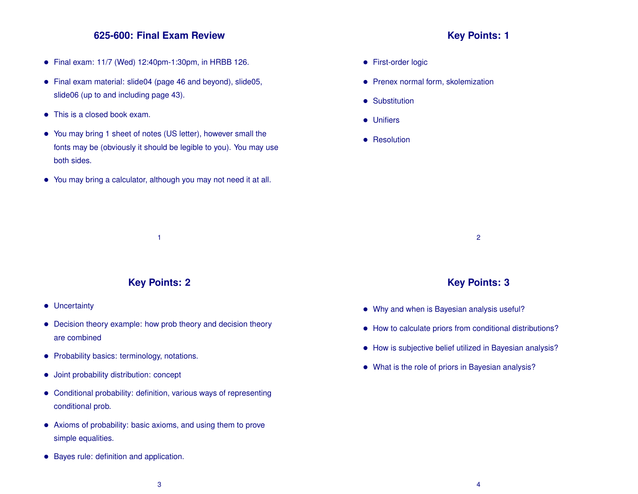# **625-600: Final Exam Review**

- Final exam: 11/7 (Wed) 12:40pm-1:30pm, in HRBB 126.
- Final exam material: slide04 (page 46 and beyond), slide05, slide06 (up to and including page 43).
- This is a closed book exam.
- You may bring 1 sheet of notes (US letter), however small the fonts may be (obviously it should be legible to you). You may use both sides.
- You may bring a calculator, although you may not need it at all.

### **Key Points: 1**

- **•** First-order logic
- Prenex normal form, skolemization
- Substitution
- Unifiers
- **•** Resolution

2

## **Key Points: 3**

- Why and when is Bayesian analysis useful?
- How to calculate priors from conditional distributions?
- How is subjective belief utilized in Bayesian analysis?
- What is the role of priors in Bayesian analysis?

**Key Points: 2**

1

- Uncertainty
- Decision theory example: how prob theory and decision theory are combined
- Probability basics: terminology, notations.
- Joint probability distribution: concept
- Conditional probability: definition, various ways of representing conditional prob.
- Axioms of probability: basic axioms, and using them to prove simple equalities.
- Bayes rule: definition and application.